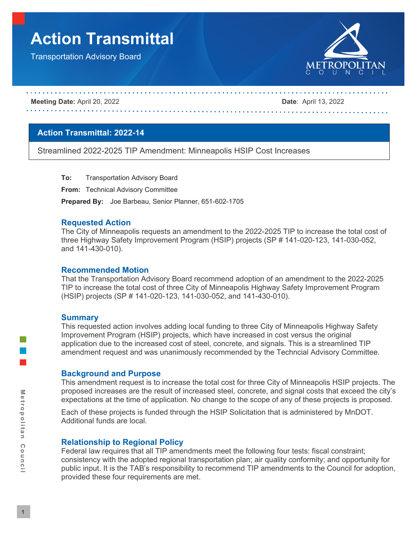# **Action Transmittal**

Transportation Advisory Board



#### **Meeting Date:** April 20, 2022 **Date**: April 13, 2022

## **Action Transmittal: 2022-14**

Streamlined 2022-2025 TIP Amendment: Minneapolis HSIP Cost Increases

**To:** Transportation Advisory Board

**From:** Technical Advisory Committee

**Prepared By:** Joe Barbeau, Senior Planner, 651-602-1705

### **Requested Action**

The City of Minneapolis requests an amendment to the 2022-2025 TIP to increase the total cost of three Highway Safety Improvement Program (HSIP) projects (SP # 141-020-123, 141-030-052, and 141-430-010).

### **Recommended Motion**

That the Transportation Advisory Board recommend adoption of an amendment to the 2022-2025 TIP to increase the total cost of three City of Minneapolis Highway Safety Improvement Program (HSIP) projects (SP # 141-020-123, 141-030-052, and 141-430-010).

### **Summary**

This requested action involves adding local funding to three City of Minneapolis Highway Safety Improvement Program (HSIP) projects, which have increased in cost versus the original application due to the increased cost of steel, concrete, and signals. This is a streamlined TIP amendment request and was unanimously recommended by the Techncial Advisory Committee.

### **Background and Purpose**

This amendment request is to increase the total cost for three City of Minneapolis HSIP projects. The proposed increases are the result of increased steel, concrete, and signal costs that exceed the city's expectations at the time of application. No change to the scope of any of these projects is proposed.

Each of these projects is funded through the HSIP Solicitation that is administered by MnDOT. Additional funds are local.

## **Relationship to Regional Policy**

Federal law requires that all TIP amendments meet the following four tests: fiscal constraint; consistency with the adopted regional transportation plan; air quality conformity; and opportunity for public input. It is the TAB's responsibility to recommend TIP amendments to the Council for adoption, provided these four requirements are met.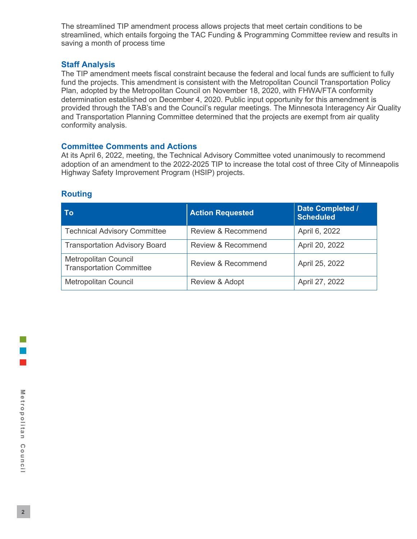The streamlined TIP amendment process allows projects that meet certain conditions to be streamlined, which entails forgoing the TAC Funding & Programming Committee review and results in saving a month of process time

## **Staff Analysis**

The TIP amendment meets fiscal constraint because the federal and local funds are sufficient to fully fund the projects. This amendment is consistent with the Metropolitan Council Transportation Policy Plan, adopted by the Metropolitan Council on November 18, 2020, with FHWA/FTA conformity determination established on December 4, 2020. Public input opportunity for this amendment is provided through the TAB's and the Council's regular meetings. The Minnesota Interagency Air Quality and Transportation Planning Committee determined that the projects are exempt from air quality conformity analysis.

## **Committee Comments and Actions**

At its April 6, 2022, meeting, the Technical Advisory Committee voted unanimously to recommend adoption of an amendment to the 2022-2025 TIP to increase the total cost of three City of Minneapolis Highway Safety Improvement Program (HSIP) projects.

| To                                                             | <b>Action Requested</b>       | <b>Date Completed /</b><br><b>Scheduled</b> |
|----------------------------------------------------------------|-------------------------------|---------------------------------------------|
| <b>Technical Advisory Committee</b>                            | <b>Review &amp; Recommend</b> | April 6, 2022                               |
| <b>Transportation Advisory Board</b>                           | <b>Review &amp; Recommend</b> | April 20, 2022                              |
| <b>Metropolitan Council</b><br><b>Transportation Committee</b> | Review & Recommend            | April 25, 2022                              |
| <b>Metropolitan Council</b>                                    | Review & Adopt                | April 27, 2022                              |

## **Routing**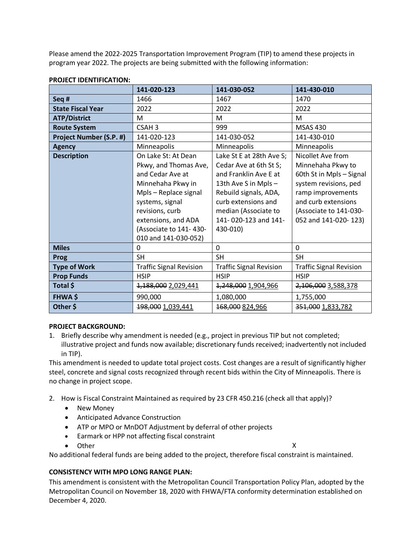Please amend the 2022-2025 Transportation Improvement Program (TIP) to amend these projects in program year 2022. The projects are being submitted with the following information:

|                          | 141-020-123                    | 141-030-052                    | 141-430-010                    |
|--------------------------|--------------------------------|--------------------------------|--------------------------------|
| Seq #                    | 1466                           | 1467                           | 1470                           |
| <b>State Fiscal Year</b> | 2022                           | 2022                           | 2022                           |
| <b>ATP/District</b>      | M                              | M                              | M                              |
| <b>Route System</b>      | CSAH <sub>3</sub>              | 999                            | <b>MSAS 430</b>                |
| Project Number (S.P. #)  | 141-020-123                    | 141-030-052                    | 141-430-010                    |
| <b>Agency</b>            | Minneapolis                    | Minneapolis                    | Minneapolis                    |
| <b>Description</b>       | On Lake St: At Dean            | Lake St E at 28th Ave S;       | Nicollet Ave from              |
|                          | Pkwy, and Thomas Ave,          | Cedar Ave at 6th St S;         | Minnehaha Pkwy to              |
|                          | and Cedar Ave at               | and Franklin Ave E at          | 60th St in Mpls - Signal       |
|                          | Minnehaha Pkwy in              | 13th Ave S in Mpls-            | system revisions, ped          |
|                          | Mpls-Replace signal            | Rebuild signals, ADA,          | ramp improvements              |
|                          | systems, signal                | curb extensions and            | and curb extensions            |
|                          | revisions, curb                | median (Associate to           | (Associate to 141-030-         |
|                          | extensions, and ADA            | 141-020-123 and 141-           | 052 and 141-020-123)           |
|                          | (Associate to 141-430-         | 430-010)                       |                                |
|                          | 010 and 141-030-052)           |                                |                                |
| <b>Miles</b>             | 0                              | $\mathbf{0}$                   | $\Omega$                       |
| Prog                     | <b>SH</b>                      | <b>SH</b>                      | <b>SH</b>                      |
| <b>Type of Work</b>      | <b>Traffic Signal Revision</b> | <b>Traffic Signal Revision</b> | <b>Traffic Signal Revision</b> |
| <b>Prop Funds</b>        | <b>HSIP</b>                    | <b>HSIP</b>                    | <b>HSIP</b>                    |
| Total \$                 | 1,188,000 2,029,441            | 1,248,000 1,904,966            | 2,106,000 3,588,378            |
| <b>FHWA \$</b>           | 990,000                        | 1,080,000                      | 1,755,000                      |
| Other \$                 | 198,000 1,039,441              | 168,000 824,966                | 351,000 1,833,782              |

## **PROJECT IDENTIFICATION:**

## **PROJECT BACKGROUND:**

1. Briefly describe why amendment is needed (e.g., project in previous TIP but not completed; illustrative project and funds now available; discretionary funds received; inadvertently not included in TIP).

This amendment is needed to update total project costs. Cost changes are a result of significantly higher steel, concrete and signal costs recognized through recent bids within the City of Minneapolis. There is no change in project scope.

- 2. How is Fiscal Constraint Maintained as required by 23 CFR 450.216 (check all that apply)?
	- New Money
	- Anticipated Advance Construction
	- ATP or MPO or MnDOT Adjustment by deferral of other projects
	- Earmark or HPP not affecting fiscal constraint
	- Other X

No additional federal funds are being added to the project, therefore fiscal constraint is maintained.

## **CONSISTENCY WITH MPO LONG RANGE PLAN:**

This amendment is consistent with the Metropolitan Council Transportation Policy Plan, adopted by the Metropolitan Council on November 18, 2020 with FHWA/FTA conformity determination established on December 4, 2020.